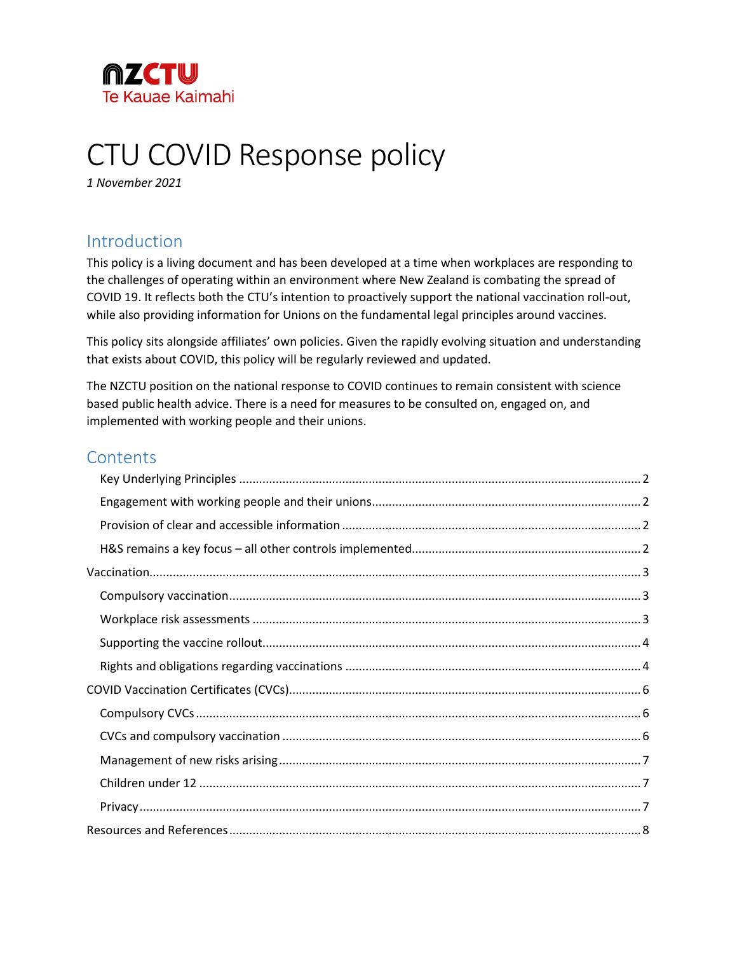

# CTU COVID Response policy

*1 November 2021*

# Introduction

This policy is a living document and has been developed at a time when workplaces are responding to the challenges of operating within an environment where New Zealand is combating the spread of COVID 19. It reflects both the CTU's intention to proactively support the national vaccination roll-out, while also providing information for Unions on the fundamental legal principles around vaccines.

This policy sits alongside affiliates' own policies. Given the rapidly evolving situation and understanding that exists about COVID, this policy will be regularly reviewed and updated.

The NZCTU position on the national response to COVID continues to remain consistent with science based public health advice. There is a need for measures to be consulted on, engaged on, and implemented with working people and their unions.

# **Contents**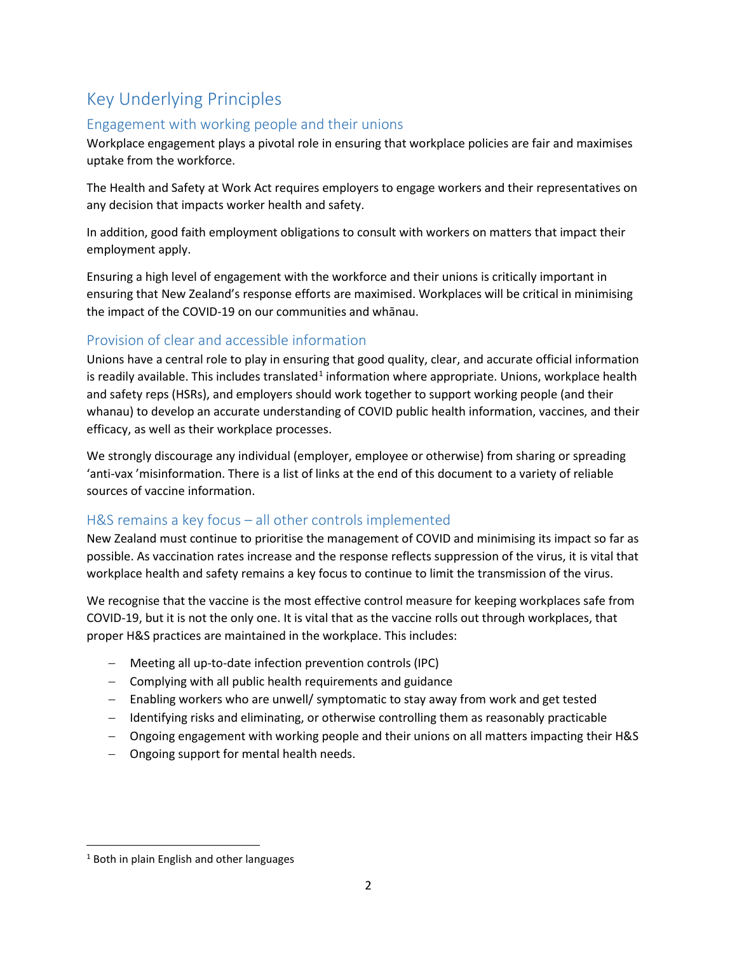# <span id="page-1-0"></span>Key Underlying Principles

# <span id="page-1-1"></span>Engagement with working people and their unions

Workplace engagement plays a pivotal role in ensuring that workplace policies are fair and maximises uptake from the workforce.

The Health and Safety at Work Act requires employers to engage workers and their representatives on any decision that impacts worker health and safety.

In addition, good faith employment obligations to consult with workers on matters that impact their employment apply.

Ensuring a high level of engagement with the workforce and their unions is critically important in ensuring that New Zealand's response efforts are maximised. Workplaces will be critical in minimising the impact of the COVID-19 on our communities and whānau.

# <span id="page-1-2"></span>Provision of clear and accessible information

Unions have a central role to play in ensuring that good quality, clear, and accurate official information is readily available. This includes translated<sup>[1](#page-1-4)</sup> information where appropriate. Unions, workplace health and safety reps (HSRs), and employers should work together to support working people (and their whanau) to develop an accurate understanding of COVID public health information, vaccines, and their efficacy, as well as their workplace processes.

We strongly discourage any individual (employer, employee or otherwise) from sharing or spreading 'anti-vax 'misinformation. There is a list of links at the end of this document to a variety of reliable sources of vaccine information.

# <span id="page-1-3"></span>H&S remains a key focus – all other controls implemented

New Zealand must continue to prioritise the management of COVID and minimising its impact so far as possible. As vaccination rates increase and the response reflects suppression of the virus, it is vital that workplace health and safety remains a key focus to continue to limit the transmission of the virus.

We recognise that the vaccine is the most effective control measure for keeping workplaces safe from COVID-19, but it is not the only one. It is vital that as the vaccine rolls out through workplaces, that proper H&S practices are maintained in the workplace. This includes:

- − Meeting all up-to-date infection prevention controls (IPC)
- − Complying with all public health requirements and guidance
- − Enabling workers who are unwell/ symptomatic to stay away from work and get tested
- − Identifying risks and eliminating, or otherwise controlling them as reasonably practicable
- − Ongoing engagement with working people and their unions on all matters impacting their H&S
- − Ongoing support for mental health needs.

<span id="page-1-4"></span><sup>&</sup>lt;sup>1</sup> Both in plain English and other languages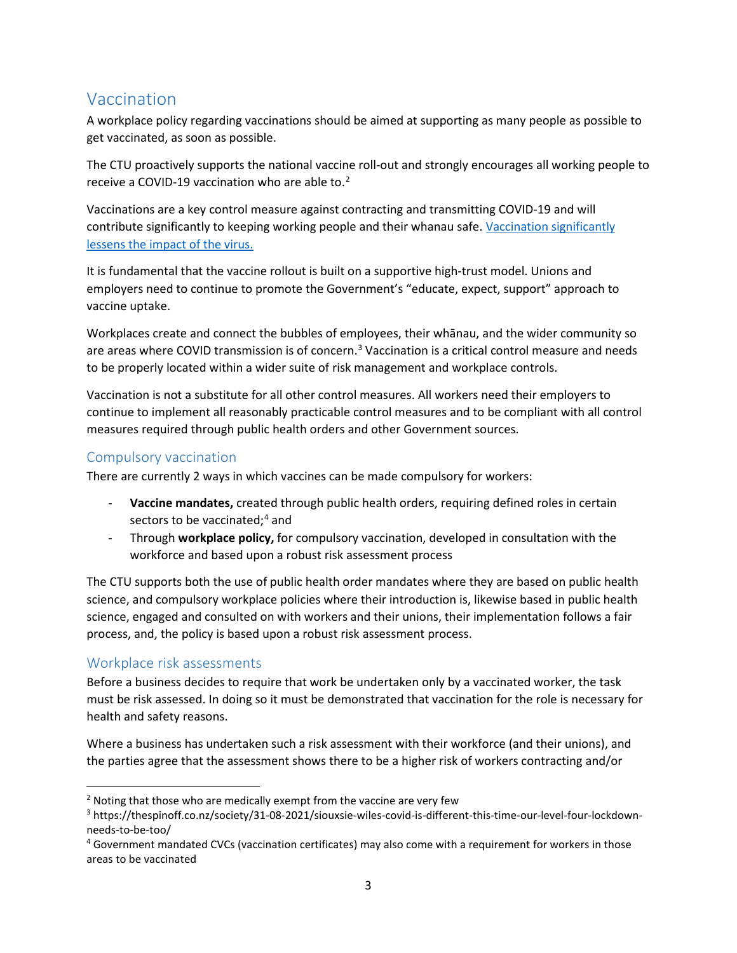# <span id="page-2-0"></span>Vaccination

A workplace policy regarding vaccinations should be aimed at supporting as many people as possible to get vaccinated, as soon as possible.

The CTU proactively supports the national vaccine roll-out and strongly encourages all working people to receive a COVID-19 vaccination who are able to.[2](#page-2-3)

Vaccinations are a key control measure against contracting and transmitting COVID-19 and will contribute significantly to keeping working people and their whanau safe. Vaccination significantly [lessens the impact of the virus.](https://www.health.govt.nz/our-work/diseases-and-conditions/covid-19-novel-coronavirus/covid-19-vaccines/covid-19-vaccine-effectiveness-and-protection)

It is fundamental that the vaccine rollout is built on a supportive high-trust model. Unions and employers need to continue to promote the Government's "educate, expect, support" approach to vaccine uptake.

Workplaces create and connect the bubbles of employees, their whānau, and the wider community so are areas where COVID transmission is of concern.<sup>[3](#page-2-4)</sup> Vaccination is a critical control measure and needs to be properly located within a wider suite of risk management and workplace controls.

Vaccination is not a substitute for all other control measures. All workers need their employers to continue to implement all reasonably practicable control measures and to be compliant with all control measures required through public health orders and other Government sources.

# <span id="page-2-1"></span>Compulsory vaccination

There are currently 2 ways in which vaccines can be made compulsory for workers:

- **Vaccine mandates,** created through public health orders, requiring defined roles in certain sectors to be vaccinated;<sup>[4](#page-2-5)</sup> and
- Through **workplace policy,** for compulsory vaccination, developed in consultation with the workforce and based upon a robust risk assessment process

The CTU supports both the use of public health order mandates where they are based on public health science, and compulsory workplace policies where their introduction is, likewise based in public health science, engaged and consulted on with workers and their unions, their implementation follows a fair process, and, the policy is based upon a robust risk assessment process.

# <span id="page-2-2"></span>Workplace risk assessments

Before a business decides to require that work be undertaken only by a vaccinated worker, the task must be risk assessed. In doing so it must be demonstrated that vaccination for the role is necessary for health and safety reasons.

Where a business has undertaken such a risk assessment with their workforce (and their unions), and the parties agree that the assessment shows there to be a higher risk of workers contracting and/or

<span id="page-2-3"></span> $2$  Noting that those who are medically exempt from the vaccine are very few

<span id="page-2-4"></span><sup>3</sup> https://thespinoff.co.nz/society/31-08-2021/siouxsie-wiles-covid-is-different-this-time-our-level-four-lockdownneeds-to-be-too/

<span id="page-2-5"></span><sup>4</sup> Government mandated CVCs (vaccination certificates) may also come with a requirement for workers in those areas to be vaccinated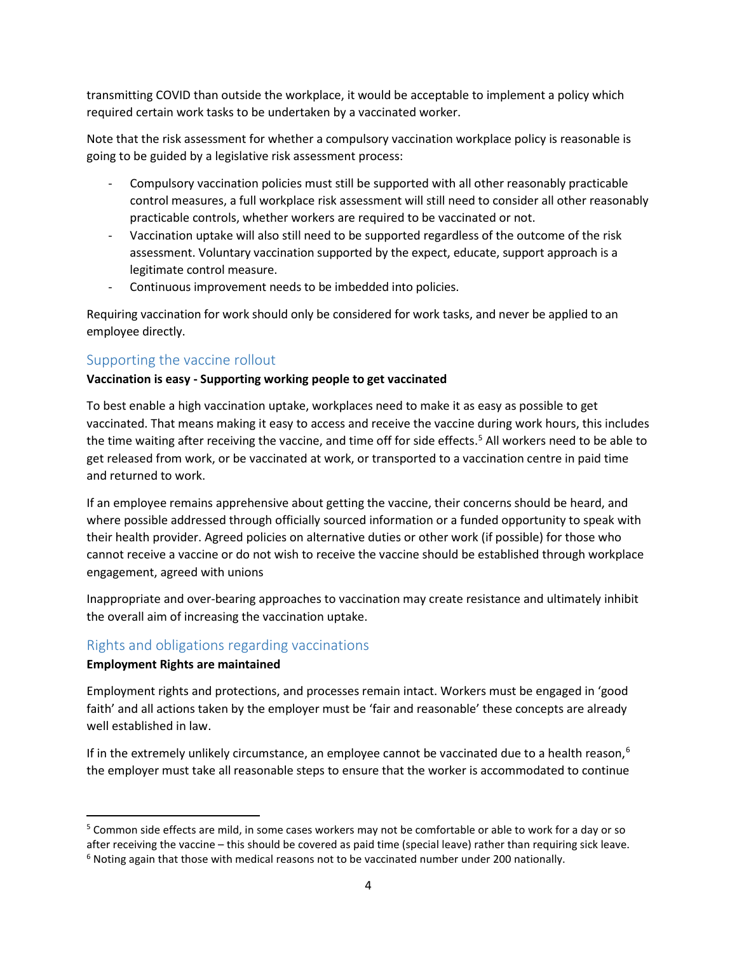transmitting COVID than outside the workplace, it would be acceptable to implement a policy which required certain work tasks to be undertaken by a vaccinated worker.

Note that the risk assessment for whether a compulsory vaccination workplace policy is reasonable is going to be guided by a legislative risk assessment process:

- Compulsory vaccination policies must still be supported with all other reasonably practicable control measures, a full workplace risk assessment will still need to consider all other reasonably practicable controls, whether workers are required to be vaccinated or not.
- Vaccination uptake will also still need to be supported regardless of the outcome of the risk assessment. Voluntary vaccination supported by the expect, educate, support approach is a legitimate control measure.
- Continuous improvement needs to be imbedded into policies.

Requiring vaccination for work should only be considered for work tasks, and never be applied to an employee directly.

# <span id="page-3-0"></span>Supporting the vaccine rollout

#### **Vaccination is easy - Supporting working people to get vaccinated**

To best enable a high vaccination uptake, workplaces need to make it as easy as possible to get vaccinated. That means making it easy to access and receive the vaccine during work hours, this includes the time waiting after receiving the vaccine, and time off for side effects. [5](#page-3-2) All workers need to be able to get released from work, or be vaccinated at work, or transported to a vaccination centre in paid time and returned to work.

If an employee remains apprehensive about getting the vaccine, their concerns should be heard, and where possible addressed through officially sourced information or a funded opportunity to speak with their health provider. Agreed policies on alternative duties or other work (if possible) for those who cannot receive a vaccine or do not wish to receive the vaccine should be established through workplace engagement, agreed with unions

Inappropriate and over-bearing approaches to vaccination may create resistance and ultimately inhibit the overall aim of increasing the vaccination uptake.

# <span id="page-3-1"></span>Rights and obligations regarding vaccinations

#### **Employment Rights are maintained**

Employment rights and protections, and processes remain intact. Workers must be engaged in 'good faith' and all actions taken by the employer must be 'fair and reasonable' these concepts are already well established in law.

If in the extremely unlikely circumstance, an employee cannot be vaccinated due to a health reason,<sup>[6](#page-3-3)</sup> the employer must take all reasonable steps to ensure that the worker is accommodated to continue

<span id="page-3-3"></span><span id="page-3-2"></span><sup>5</sup> Common side effects are mild, in some cases workers may not be comfortable or able to work for a day or so after receiving the vaccine – this should be covered as paid time (special leave) rather than requiring sick leave.<br><sup>6</sup> Noting again that those with medical reasons not to be vaccinated number under 200 nationally.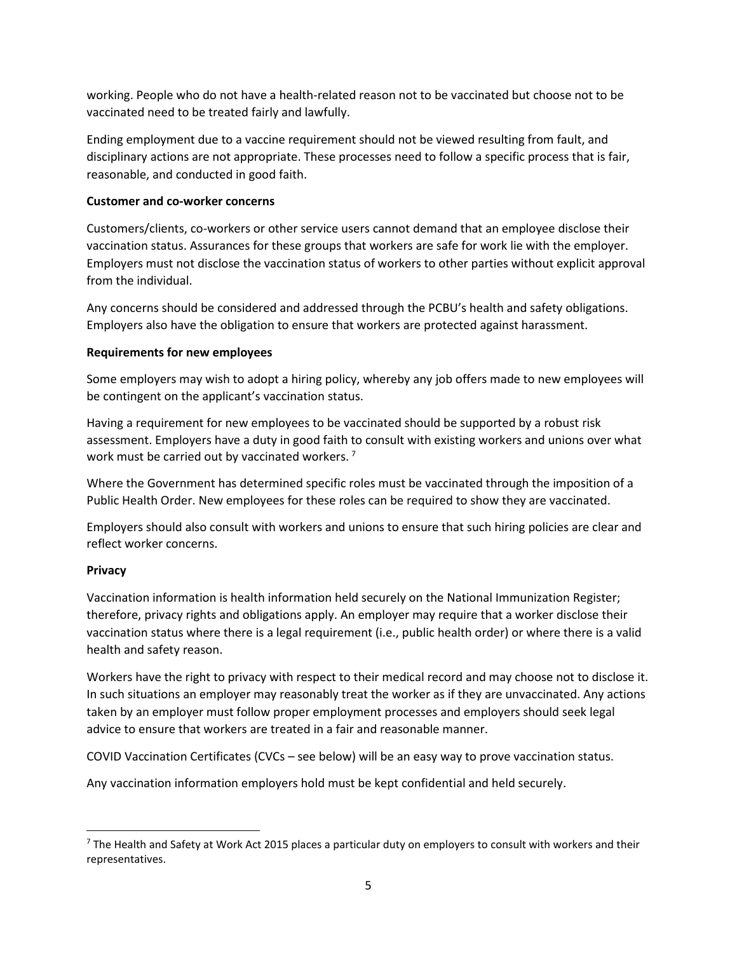working. People who do not have a health-related reason not to be vaccinated but choose not to be vaccinated need to be treated fairly and lawfully.

Ending employment due to a vaccine requirement should not be viewed resulting from fault, and disciplinary actions are not appropriate. These processes need to follow a specific process that is fair, reasonable, and conducted in good faith.

#### **Customer and co-worker concerns**

Customers/clients, co-workers or other service users cannot demand that an employee disclose their vaccination status. Assurances for these groups that workers are safe for work lie with the employer. Employers must not disclose the vaccination status of workers to other parties without explicit approval from the individual.

Any concerns should be considered and addressed through the PCBU's health and safety obligations. Employers also have the obligation to ensure that workers are protected against harassment.

#### **Requirements for new employees**

Some employers may wish to adopt a hiring policy, whereby any job offers made to new employees will be contingent on the applicant's vaccination status.

Having a requirement for new employees to be vaccinated should be supported by a robust risk assessment. Employers have a duty in good faith to consult with existing workers and unions over what work must be carried out by vaccinated workers.<sup>[7](#page-4-0)</sup>

Where the Government has determined specific roles must be vaccinated through the imposition of a Public Health Order. New employees for these roles can be required to show they are vaccinated.

Employers should also consult with workers and unions to ensure that such hiring policies are clear and reflect worker concerns.

#### **Privacy**

Vaccination information is health information held securely on the National Immunization Register; therefore, privacy rights and obligations apply. An employer may require that a worker disclose their vaccination status where there is a legal requirement (i.e., public health order) or where there is a valid health and safety reason.

Workers have the right to privacy with respect to their medical record and may choose not to disclose it. In such situations an employer may reasonably treat the worker as if they are unvaccinated. Any actions taken by an employer must follow proper employment processes and employers should seek legal advice to ensure that workers are treated in a fair and reasonable manner.

COVID Vaccination Certificates (CVCs – see below) will be an easy way to prove vaccination status.

Any vaccination information employers hold must be kept confidential and held securely.

<span id="page-4-0"></span> $7$  The Health and Safety at Work Act 2015 places a particular duty on employers to consult with workers and their representatives.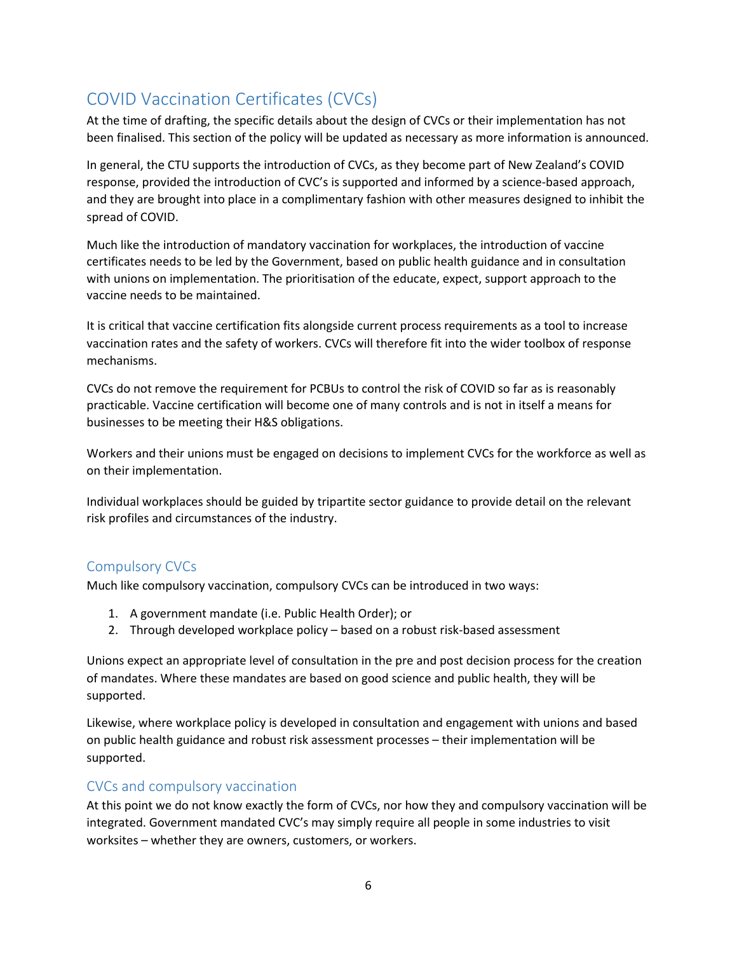# <span id="page-5-0"></span>COVID Vaccination Certificates (CVCs)

At the time of drafting, the specific details about the design of CVCs or their implementation has not been finalised. This section of the policy will be updated as necessary as more information is announced.

In general, the CTU supports the introduction of CVCs, as they become part of New Zealand's COVID response, provided the introduction of CVC's is supported and informed by a science-based approach, and they are brought into place in a complimentary fashion with other measures designed to inhibit the spread of COVID.

Much like the introduction of mandatory vaccination for workplaces, the introduction of vaccine certificates needs to be led by the Government, based on public health guidance and in consultation with unions on implementation. The prioritisation of the educate, expect, support approach to the vaccine needs to be maintained.

It is critical that vaccine certification fits alongside current process requirements as a tool to increase vaccination rates and the safety of workers. CVCs will therefore fit into the wider toolbox of response mechanisms.

CVCs do not remove the requirement for PCBUs to control the risk of COVID so far as is reasonably practicable. Vaccine certification will become one of many controls and is not in itself a means for businesses to be meeting their H&S obligations.

Workers and their unions must be engaged on decisions to implement CVCs for the workforce as well as on their implementation.

Individual workplaces should be guided by tripartite sector guidance to provide detail on the relevant risk profiles and circumstances of the industry.

# <span id="page-5-1"></span>Compulsory CVCs

Much like compulsory vaccination, compulsory CVCs can be introduced in two ways:

- 1. A government mandate (i.e. Public Health Order); or
- 2. Through developed workplace policy based on a robust risk-based assessment

Unions expect an appropriate level of consultation in the pre and post decision process for the creation of mandates. Where these mandates are based on good science and public health, they will be supported.

Likewise, where workplace policy is developed in consultation and engagement with unions and based on public health guidance and robust risk assessment processes – their implementation will be supported.

# <span id="page-5-2"></span>CVCs and compulsory vaccination

At this point we do not know exactly the form of CVCs, nor how they and compulsory vaccination will be integrated. Government mandated CVC's may simply require all people in some industries to visit worksites – whether they are owners, customers, or workers.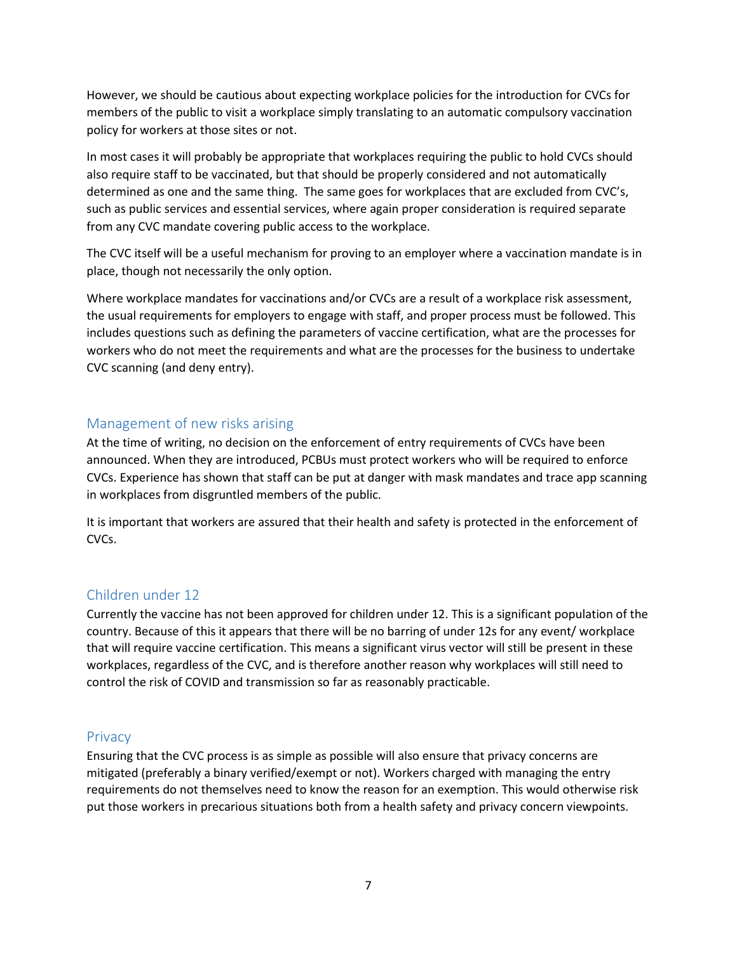However, we should be cautious about expecting workplace policies for the introduction for CVCs for members of the public to visit a workplace simply translating to an automatic compulsory vaccination policy for workers at those sites or not.

In most cases it will probably be appropriate that workplaces requiring the public to hold CVCs should also require staff to be vaccinated, but that should be properly considered and not automatically determined as one and the same thing. The same goes for workplaces that are excluded from CVC's, such as public services and essential services, where again proper consideration is required separate from any CVC mandate covering public access to the workplace.

The CVC itself will be a useful mechanism for proving to an employer where a vaccination mandate is in place, though not necessarily the only option.

Where workplace mandates for vaccinations and/or CVCs are a result of a workplace risk assessment, the usual requirements for employers to engage with staff, and proper process must be followed. This includes questions such as defining the parameters of vaccine certification, what are the processes for workers who do not meet the requirements and what are the processes for the business to undertake CVC scanning (and deny entry).

### <span id="page-6-0"></span>Management of new risks arising

At the time of writing, no decision on the enforcement of entry requirements of CVCs have been announced. When they are introduced, PCBUs must protect workers who will be required to enforce CVCs. Experience has shown that staff can be put at danger with mask mandates and trace app scanning in workplaces from disgruntled members of the public.

It is important that workers are assured that their health and safety is protected in the enforcement of CVCs.

# <span id="page-6-1"></span>Children under 12

Currently the vaccine has not been approved for children under 12. This is a significant population of the country. Because of this it appears that there will be no barring of under 12s for any event/ workplace that will require vaccine certification. This means a significant virus vector will still be present in these workplaces, regardless of the CVC, and is therefore another reason why workplaces will still need to control the risk of COVID and transmission so far as reasonably practicable.

#### <span id="page-6-2"></span>**Privacy**

Ensuring that the CVC process is as simple as possible will also ensure that privacy concerns are mitigated (preferably a binary verified/exempt or not). Workers charged with managing the entry requirements do not themselves need to know the reason for an exemption. This would otherwise risk put those workers in precarious situations both from a health safety and privacy concern viewpoints.